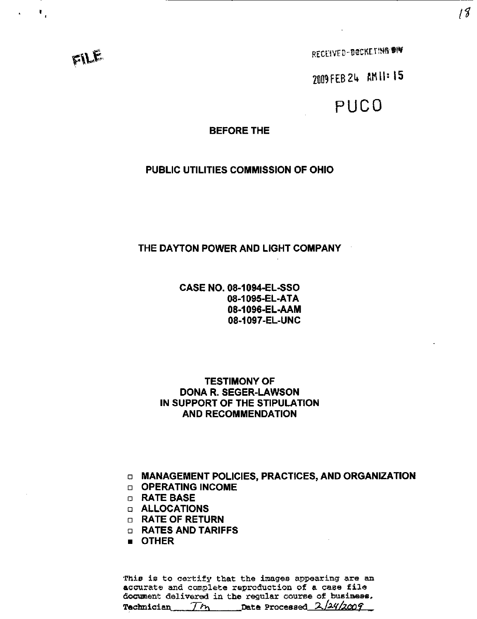FILE

 $\mathbf{r}_i$ 

RECEIVED-DOCKETING #IW

2009 FEB 24 AM 11:15

# PUCO

#### **BEFORE THE**

#### PUBLIC UTILITIES COMMISSION OF OHIO

#### THE DAYTON POWER AND LIGHT COMPANY

CASE NO. 08-1094-EL-SSO 08-1095-EL-ATA 08-1096-EL-AAM 08-1097-EL-UNC

#### TESTIMONY OF DONA R. SEGER-LAWSON IN SUPPORT OF THE STIPULATION AND RECOMMENDATION

a MANAGEMENT POLICIES, PRACTICES, AND ORGANIZATION

- D OPERATING INCOME
- D RATE BASE
- D ALLOCATIONS
- D RATE OF RETURN
- a RATES AND TARIFFS
- OTHER

This is to certify that the images appearing are an accurate and complete reproduction of a case file document delivered in the regular course of business. Technician The Date Processed 2/24/2009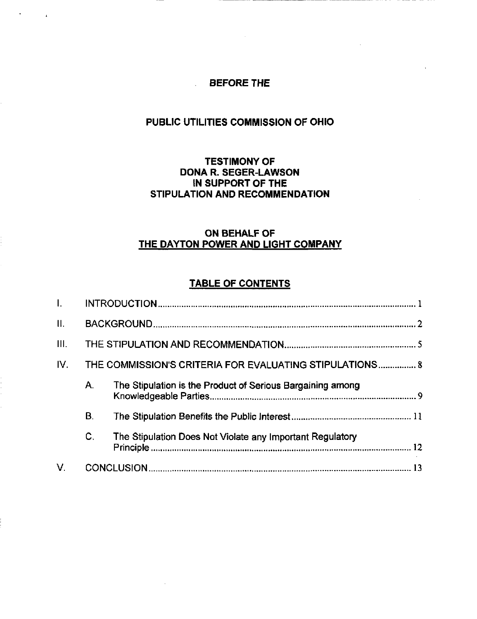### BEFORE THE

 $\overline{1}$ 

### PUBLIC UTILITIES COMMISSION OF OHIO

#### TESTIMONY OF DONA R. SEGER-LAWSON IN SUPPORT OF THE STIPULATION AND RECOMMENDATION

### ON BEHALF OF THE DAYTON POWER AND LIGHT COMPANY

#### TABLE OF CONTENTS

| $\mathbf{L}$ |    |                                                            |  |
|--------------|----|------------------------------------------------------------|--|
| II.          |    |                                                            |  |
| III.         |    |                                                            |  |
| IV.          |    | THE COMMISSION'S CRITERIA FOR EVALUATING STIPULATIONS 8    |  |
|              | Α. | The Stipulation is the Product of Serious Bargaining among |  |
|              | В. |                                                            |  |
|              | C. | The Stipulation Does Not Violate any Important Regulatory  |  |
| V.           |    |                                                            |  |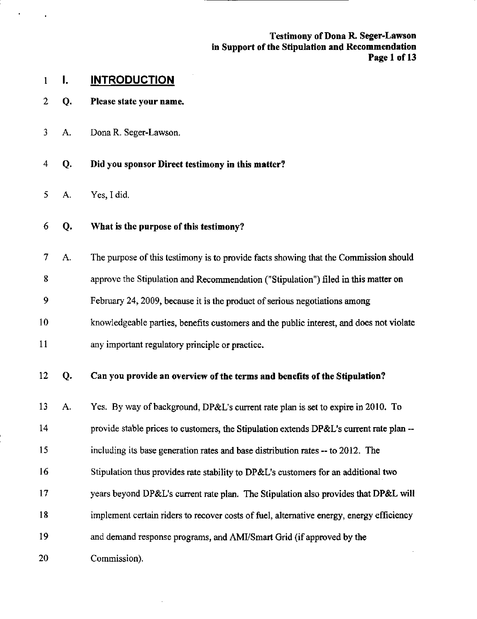Testimony of Dona R. Seger-Lawson in Support of the Stipulation and Recommendation Page 1 of 13

### 1 I. INTRODUCTION

- 2 Q. Please state your name.
- 3 A, Dona R. Seger-Lawson.
- 4 Q. Did you sponsor Direct testimony in this matter?
- 5 A. Yes, I did.
- 6 Q. What is the purpose of this testimony?
- 7 A. The purpose of this testimony is to provide facts showing that the Commission should 8 8 approve the Stipulation and Recommendation ("Stipulation") filed in this matter on 9 9 February 24, 2009, because it is the product of serious negotiations among 10 knowledgeable parties, benefits customers and the public interest, and does not violate 10 knowledgeable parties, benefits customers and the public interest, and does not violate 11 any important regulatory principle or practice. 11 any important regulatory principle or practice. 12 Q. Can you provide an overview of the terms and benefits of the Stipulation?
- 13 A. Yes. By way of background, DP&L's current rate plan is set to expire in 2010. To 14 provide stable prices to customers, the Stipulation extends DP&L's current rate plan -- 15 including its base generation rates and base distribution rates -- to 2012. The 16 Stipulation thus provides rate stability to DP&L's customers for an additional two 17 years beyond DP&L's current rate plan. The Stipulation also provides that DP&L will 18 implement certain riders to recover costs of fuel, altemative energy, energy efficiency 19 and demand response programs, and AMI/Smart Grid (if approved by the 20 Commission).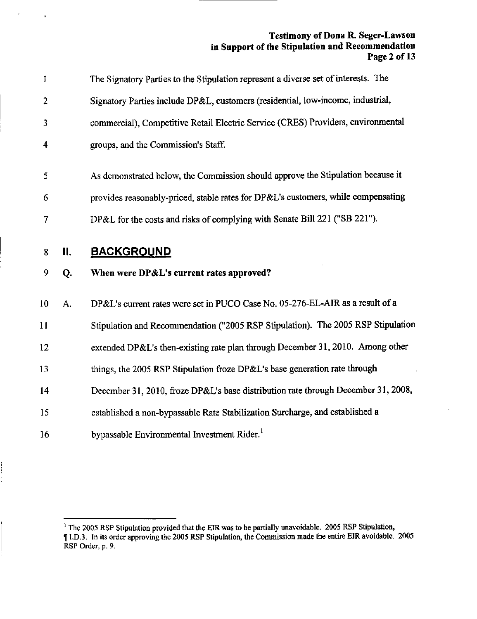#### Testimony of Dona R. Seger-Lawson in Support of the Stipulation and Recommendation Page 2 of 13

| $\mathbf{I}$            |    | The Signatory Parties to the Stipulation represent a diverse set of interests. The |
|-------------------------|----|------------------------------------------------------------------------------------|
| $\overline{2}$          |    | Signatory Parties include DP&L, customers (residential, low-income, industrial,    |
| 3                       |    | commercial), Competitive Retail Electric Service (CRES) Providers, environmental   |
| $\overline{\mathbf{4}}$ |    | groups, and the Commission's Staff.                                                |
| 5                       |    | As demonstrated below, the Commission should approve the Stipulation because it    |
| 6                       |    | provides reasonably-priced, stable rates for DP&L's customers, while compensating  |
| 7                       |    | DP&L for the costs and risks of complying with Senate Bill 221 ("SB 221").         |
| 8                       | П. | <b>BACKGROUND</b>                                                                  |
| 9                       | Q. | When were DP&L's current rates approved?                                           |
| 10                      | A. | DP&L's current rates were set in PUCO Case No. 05-276-EL-AIR as a result of a      |
| 11                      |    | Stipulation and Recommendation ("2005 RSP Stipulation). The 2005 RSP Stipulation   |
| 12                      |    | extended DP&L's then-existing rate plan through December 31, 2010. Among other     |
| 13                      |    | things, the 2005 RSP Stipulation froze DP&L's base generation rate through         |
| 14                      |    | December 31, 2010, froze DP&L's base distribution rate through December 31, 2008,  |
|                         |    |                                                                                    |
| 15                      |    | established a non-bypassable Rate Stabilization Surcharge, and established a       |

 $\epsilon$ 

 $\mathbf{r}$ 

 $^{\circ}$  The 2005 RSP Stipulation provided that the EIR was to be partially unavoidable. 2005 RSP Stipulation, I I.D.3. In its order approving the 2005 RSP Stipulation, the Commission made the entire EIR avoidable. 2005 RSP Order, p. 9.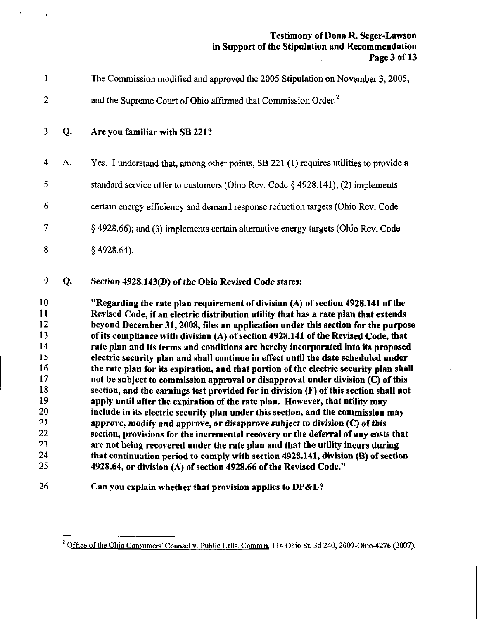#### Testimony of Dona R. Seger-Lawson in Support of the Stipulation and Recommendation Page 3 of 13  $\mathcal{L}$

| $\mathbf{1}$                                                                                 |    | The Commission modified and approved the 2005 Stipulation on November 3, 2005,                                                                                                                                                                                                                                                                                                                                                                                                                                                                                                                                                                                                                                                                                                                                                                                                                                                                                                                                                                                                                                                                                                                                                                                                                                                                                                         |
|----------------------------------------------------------------------------------------------|----|----------------------------------------------------------------------------------------------------------------------------------------------------------------------------------------------------------------------------------------------------------------------------------------------------------------------------------------------------------------------------------------------------------------------------------------------------------------------------------------------------------------------------------------------------------------------------------------------------------------------------------------------------------------------------------------------------------------------------------------------------------------------------------------------------------------------------------------------------------------------------------------------------------------------------------------------------------------------------------------------------------------------------------------------------------------------------------------------------------------------------------------------------------------------------------------------------------------------------------------------------------------------------------------------------------------------------------------------------------------------------------------|
| $\mathbf{2}$                                                                                 |    | and the Supreme Court of Ohio affirmed that Commission Order. <sup>2</sup>                                                                                                                                                                                                                                                                                                                                                                                                                                                                                                                                                                                                                                                                                                                                                                                                                                                                                                                                                                                                                                                                                                                                                                                                                                                                                                             |
| $\mathbf{3}$                                                                                 | Q. | Are you familiar with SB 221?                                                                                                                                                                                                                                                                                                                                                                                                                                                                                                                                                                                                                                                                                                                                                                                                                                                                                                                                                                                                                                                                                                                                                                                                                                                                                                                                                          |
| 4                                                                                            | А. | Yes. I understand that, among other points, SB 221 (1) requires utilities to provide a                                                                                                                                                                                                                                                                                                                                                                                                                                                                                                                                                                                                                                                                                                                                                                                                                                                                                                                                                                                                                                                                                                                                                                                                                                                                                                 |
| 5                                                                                            |    | standard service offer to customers (Ohio Rev. Code $\S$ 4928.141); (2) implements                                                                                                                                                                                                                                                                                                                                                                                                                                                                                                                                                                                                                                                                                                                                                                                                                                                                                                                                                                                                                                                                                                                                                                                                                                                                                                     |
| 6                                                                                            |    | certain energy efficiency and demand response reduction targets (Ohio Rev. Code                                                                                                                                                                                                                                                                                                                                                                                                                                                                                                                                                                                                                                                                                                                                                                                                                                                                                                                                                                                                                                                                                                                                                                                                                                                                                                        |
| 7                                                                                            |    | $\S$ 4928.66); and (3) implements certain alternative energy targets (Ohio Rev. Code                                                                                                                                                                                                                                                                                                                                                                                                                                                                                                                                                                                                                                                                                                                                                                                                                                                                                                                                                                                                                                                                                                                                                                                                                                                                                                   |
| 8                                                                                            |    | $§$ 4928.64).                                                                                                                                                                                                                                                                                                                                                                                                                                                                                                                                                                                                                                                                                                                                                                                                                                                                                                                                                                                                                                                                                                                                                                                                                                                                                                                                                                          |
| 9                                                                                            | Q. | Section 4928.143(D) of the Ohio Revised Code states:                                                                                                                                                                                                                                                                                                                                                                                                                                                                                                                                                                                                                                                                                                                                                                                                                                                                                                                                                                                                                                                                                                                                                                                                                                                                                                                                   |
| 10<br>11<br>12<br>13<br>14<br>15<br>16<br>17<br>18<br>19<br>20<br>21<br>22<br>23<br>24<br>25 |    | "Regarding the rate plan requirement of division $(A)$ of section 4928.141 of the<br>Revised Code, if an electric distribution utility that has a rate plan that extends<br>beyond December 31, 2008, files an application under this section for the purpose<br>of its compliance with division (A) of section 4928.141 of the Revised Code, that<br>rate plan and its terms and conditions are hereby incorporated into its proposed<br>electric security plan and shall continue in effect until the date scheduled under<br>the rate plan for its expiration, and that portion of the electric security plan shall<br>not be subject to commission approval or disapproval under division (C) of this<br>section, and the earnings test provided for in division (F) of this section shall not<br>apply until after the expiration of the rate plan. However, that utility may<br>include in its electric security plan under this section, and the commission may<br>approve, modify and approve, or disapprove subject to division (C) of this<br>section, provisions for the incremental recovery or the deferral of any costs that<br>are not being recovered under the rate plan and that the utility incurs during<br>that continuation period to comply with section 4928.141, division (B) of section<br>4928.64, or division (A) of section 4928.66 of the Revised Code." |
| 26                                                                                           |    | Can you explain whether that provision applies to DP&L?                                                                                                                                                                                                                                                                                                                                                                                                                                                                                                                                                                                                                                                                                                                                                                                                                                                                                                                                                                                                                                                                                                                                                                                                                                                                                                                                |

 $\epsilon_{\rm{max}}=1$ 

<sup>&</sup>lt;sup>2</sup> Office of the Ohio Consumers' Counsel v. Public Utils. Comm'n, 114 Ohio St. 3d 240, 2007-Ohio-4276 (2007).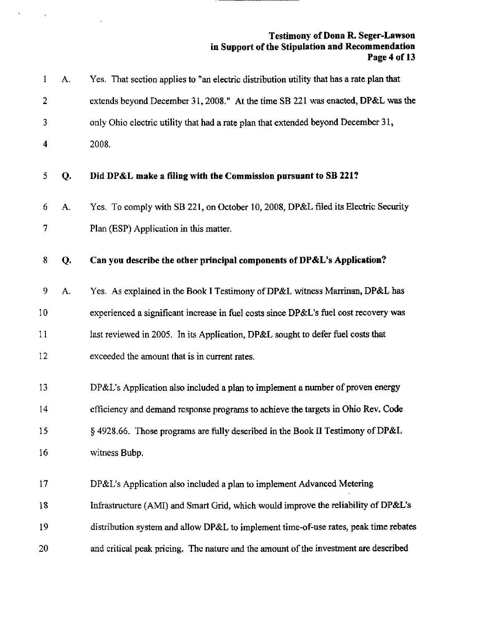#### Testimony of Dona R. Seger-Lawson in Support of the Stipulation and Recommendation Page 4 of 13

 $\label{eq:2.1} \frac{d\mathbf{y}}{d\mathbf{x}} = \frac{1}{2} \sum_{i=1}^n \frac{d\mathbf{y}}{d\mathbf{x}} \mathbf{y}_i \mathbf{y}_i \mathbf{y}_i \mathbf{y}_i$ 

 $\mathcal{L}_{\mathcal{A}}$ 

| $\mathbf{1}$   | A. | Yes. That section applies to "an electric distribution utility that has a rate plan that |
|----------------|----|------------------------------------------------------------------------------------------|
| $\overline{2}$ |    | extends beyond December 31, 2008." At the time SB 221 was enacted, DP&L was the          |
| 3              |    | only Ohio electric utility that had a rate plan that extended beyond December 31,        |
| 4              |    | 2008.                                                                                    |
| 5              | Q. | Did DP&L make a filing with the Commission pursuant to SB 221?                           |
| 6              | A. | Yes. To comply with SB 221, on October 10, 2008, DP&L filed its Electric Security        |
| 7              |    | Plan (ESP) Application in this matter.                                                   |
| 8              | Q. | Can you describe the other principal components of DP&L's Application?                   |
| 9              | A. | Yes. As explained in the Book I Testimony of DP&L witness Marrinan, DP&L has             |
| 10             |    | experienced a significant increase in fuel costs since DP&L's fuel cost recovery was     |
| 11             |    | last reviewed in 2005. In its Application, DP&L sought to defer fuel costs that          |
| 12             |    | exceeded the amount that is in current rates.                                            |
| 13             |    | DP&L's Application also included a plan to implement a number of proven energy           |
| 14             |    | efficiency and demand response programs to achieve the targets in Ohio Rev. Code         |
| 15             |    | § 4928.66. Those programs are fully described in the Book II Testimony of DP&L           |
| 16             |    | witness Bubp.                                                                            |
| 17             |    | DP&L's Application also included a plan to implement Advanced Metering                   |
| 18             |    | Infrastructure (AMI) and Smart Grid, which would improve the reliability of DP&L's       |
| 19             |    | distribution system and allow DP&L to implement time-of-use rates, peak time rebates     |
| 20             |    | and critical peak pricing. The nature and the amount of the investment are described     |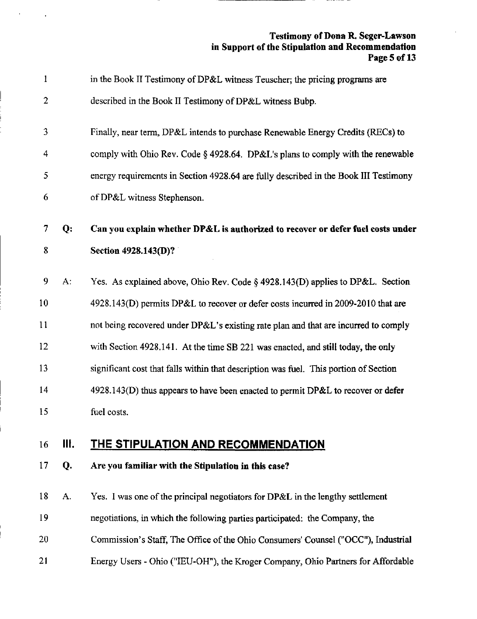#### Testimony of Dona R. Seger-Lawson in Support of the Stipulation and Recommendation Page 5 of 13

| 1              |    | in the Book II Testimony of DP&L witness Teuscher; the pricing programs are           |
|----------------|----|---------------------------------------------------------------------------------------|
| $\overline{2}$ |    | described in the Book II Testimony of DP&L witness Bubp.                              |
| 3              |    | Finally, near term, DP&L intends to purchase Renewable Energy Credits (RECs) to       |
| 4              |    | comply with Ohio Rev. Code § 4928.64. DP&L's plans to comply with the renewable       |
| 5              |    | energy requirements in Section 4928.64 are fully described in the Book III Testimony  |
| 6              |    | of DP&L witness Stephenson.                                                           |
| 7              | Q: | Can you explain whether DP&L is authorized to recover or defer fuel costs under       |
| 8              |    | Section 4928.143(D)?                                                                  |
| 9              | A: | Yes. As explained above, Ohio Rev. Code § 4928.143(D) applies to DP&L. Section        |
| 10             |    | 4928.143(D) permits DP&L to recover or defer costs incurred in 2009-2010 that are     |
| 11             |    | not being recovered under DP&L's existing rate plan and that are incurred to comply   |
| 12             |    | with Section 4928.141. At the time SB 221 was enacted, and still today, the only      |
| 13             |    | significant cost that falls within that description was fuel. This portion of Section |
| 14             |    | 4928.143(D) thus appears to have been enacted to permit DP&L to recover or defer      |
| 15             |    | fuel costs.                                                                           |
| 16             | Ш. | <b>THE STIPULATION AND RECOMMENDATION</b>                                             |
| 17             | Q. | Are you familiar with the Stipulation in this case?                                   |
| 18             | A. | Yes. I was one of the principal negotiators for DP&L in the lengthy settlement        |
| 19             |    | negotiations, in which the following parties participated: the Company, the           |
| $^{20}$        |    | Commission's Staff, The Office of the Ohio Consumers' Counsel ("OCC"), Industrial     |
| 21             |    | Energy Users - Ohio ("IEU-OH"), the Kroger Company, Ohio Partners for Affordable      |
|                |    |                                                                                       |

 $\alpha$  ,  $\alpha$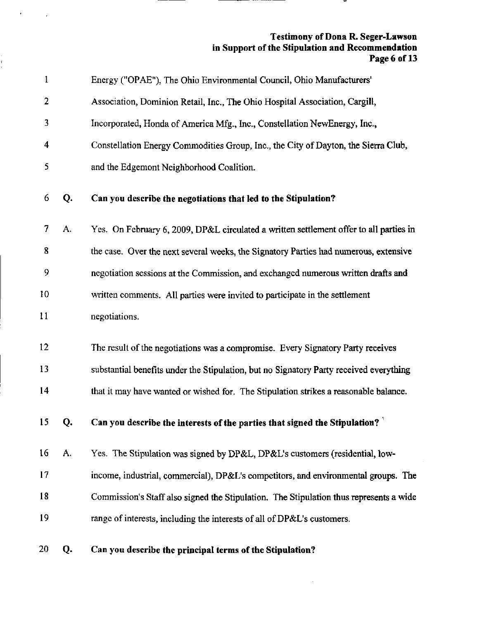#### Testimony of Dona R. Seger-Lawson in Support of the Stipulation and Recommendation Page 6 of 13

| $\mathbf{1}$    |    | Energy ("OPAE"), The Ohio Environmental Council, Ohio Manufacturers'                   |
|-----------------|----|----------------------------------------------------------------------------------------|
| 2               |    | Association, Dominion Retail, Inc., The Ohio Hospital Association, Cargill,            |
| 3               |    | Incorporated, Honda of America Mfg., Inc., Constellation NewEnergy, Inc.,              |
| 4               |    | Constellation Energy Commodities Group, Inc., the City of Dayton, the Sierra Club,     |
| 5               |    | and the Edgemont Neighborhood Coalition.                                               |
| 6               | Q. | Can you describe the negotiations that led to the Stipulation?                         |
| 7               | А. | Yes. On February 6, 2009, DP&L circulated a written settlement offer to all parties in |
| 8               |    | the case. Over the next several weeks, the Signatory Parties had numerous, extensive   |
| 9               |    | negotiation sessions at the Commission, and exchanged numerous written drafts and      |
| 10              |    | written comments. All parties were invited to participate in the settlement            |
| 11              |    | negotiations.                                                                          |
| 12              |    | The result of the negotiations was a compromise. Every Signatory Party receives        |
| 13              |    | substantial benefits under the Stipulation, but no Signatory Party received everything |
| 14              |    | that it may have wanted or wished for. The Stipulation strikes a reasonable balance.   |
| 15 <sup>7</sup> | Q. | Can you describe the interests of the parties that signed the Stipulation?             |
| 16              | А. | Yes. The Stipulation was signed by DP&L, DP&L's customers (residential, low-           |
| 17              |    | income, industrial, commercial), DP&L's competitors, and environmental groups. The     |
| 18              |    | Commission's Staff also signed the Stipulation. The Stipulation thus represents a wide |
| 19              |    | range of interests, including the interests of all of DP&L's customers.                |
| 20              | Q. | Can you describe the principal terms of the Stipulation?                               |

 $\epsilon_{\rm{max}}=100$ 

 $\frac{1}{\epsilon}$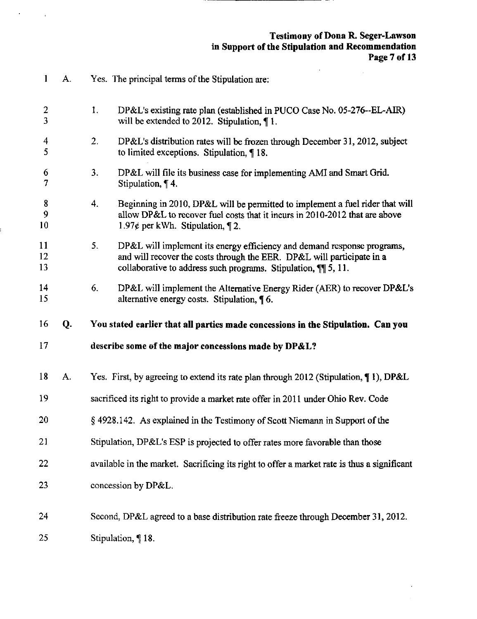#### Testimony of Dona R. Seger-Lawson in Support of the Stipulation and Recommendation Page 7 of 13

 $\epsilon$ 

| 1              | А. |                | Yes. The principal terms of the Stipulation are:                                                                                                                                                                   |
|----------------|----|----------------|--------------------------------------------------------------------------------------------------------------------------------------------------------------------------------------------------------------------|
| 2<br>3         |    | 1.             | DP&L's existing rate plan (established in PUCO Case No. 05-276--EL-AIR)<br>will be extended to 2012. Stipulation, $\P$ 1.                                                                                          |
| 4<br>5         |    | 2 <sub>1</sub> | DP&L's distribution rates will be frozen through December 31, 2012, subject<br>to limited exceptions. Stipulation, ¶18.                                                                                            |
| 6<br>7         |    | 3.             | DP&L will file its business case for implementing AMI and Smart Grid.<br>Stipulation, $\P$ 4.                                                                                                                      |
| 8<br>9<br>10   |    | 4.             | Beginning in 2010, DP&L will be permitted to implement a fuel rider that will<br>allow DP&L to recover fuel costs that it incurs in 2010-2012 that are above<br>1.97¢ per kWh. Stipulation, $\P$ 2.                |
| 11<br>12<br>13 |    | 5.             | DP&L will implement its energy efficiency and demand response programs,<br>and will recover the costs through the EER. DP&L will participate in a<br>collaborative to address such programs. Stipulation, ¶ 5, 11. |
| 14<br>15       |    | 6.             | DP&L will implement the Alternative Energy Rider (AER) to recover DP&L's<br>alternative energy costs. Stipulation, 16.                                                                                             |
|                |    |                |                                                                                                                                                                                                                    |
| 16             | Q. |                | You stated earlier that all parties made concessions in the Stipulation. Can you                                                                                                                                   |
| 17             |    |                | describe some of the major concessions made by DP&L?                                                                                                                                                               |
| 18             | A. |                | Yes. First, by agreeing to extend its rate plan through 2012 (Stipulation, $\P$ 1), DP&L                                                                                                                           |
| 19             |    |                | sacrificed its right to provide a market rate offer in 2011 under Ohio Rev. Code                                                                                                                                   |
| 20             |    |                | § 4928.142. As explained in the Testimony of Scott Niemann in Support of the                                                                                                                                       |
| 21             |    |                | Stipulation, DP&L's ESP is projected to offer rates more favorable than those                                                                                                                                      |
| 22             |    |                | available in the market. Sacrificing its right to offer a market rate is thus a significant                                                                                                                        |
| 23             |    |                | concession by DP&L.                                                                                                                                                                                                |
| 24             |    |                | Second, DP&L agreed to a base distribution rate freeze through December 31, 2012.                                                                                                                                  |

 $\mathcal{O}(\mathcal{E}^{\mathcal{E}})$  and  $\mathcal{O}(\mathcal{E})$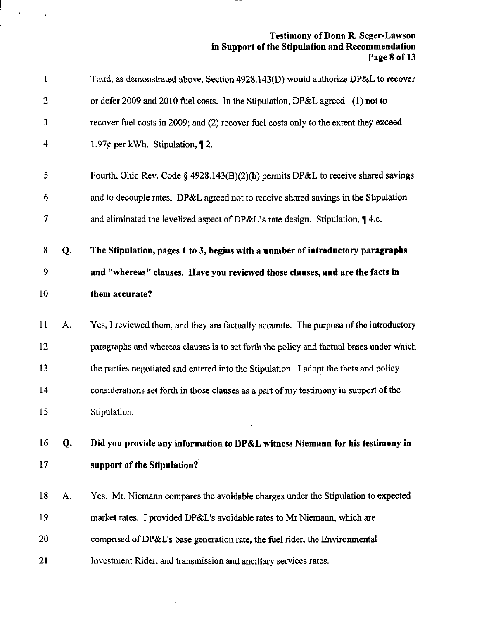#### Testimony of Dona R. Seger-Lawson in Support of the Stipulation and Recommendation Page 8 of 13  $\frac{1}{2}$  .

| 1              |    | Third, as demonstrated above, Section 4928.143(D) would authorize DP&L to recover       |
|----------------|----|-----------------------------------------------------------------------------------------|
| $\overline{2}$ |    | or defer 2009 and 2010 fuel costs. In the Stipulation, DP&L agreed: (1) not to          |
| 3              |    | recover fuel costs in 2009; and (2) recover fuel costs only to the extent they exceed   |
| 4              |    | 1.97¢ per kWh. Stipulation, $\P$ 2.                                                     |
| 5              |    | Fourth, Ohio Rev. Code § 4928.143(B)(2)(h) permits DP&L to receive shared savings       |
| 6              |    | and to decouple rates. DP&L agreed not to receive shared savings in the Stipulation     |
| 7              |    | and eliminated the levelized aspect of DP&L's rate design. Stipulation, $\P$ 4.c.       |
| 8              | Q. | The Stipulation, pages 1 to 3, begins with a number of introductory paragraphs          |
| 9              |    | and "whereas" clauses. Have you reviewed those clauses, and are the facts in            |
| 10             |    | them accurate?                                                                          |
| 11             | A. | Yes, I reviewed them, and they are factually accurate. The purpose of the introductory  |
| 12             |    | paragraphs and whereas clauses is to set forth the policy and factual bases under which |
| 13             |    | the parties negotiated and entered into the Stipulation. I adopt the facts and policy   |
| 14             |    | considerations set forth in those clauses as a part of my testimony in support of the   |
| 15             |    | Stipulation.                                                                            |
| 16             | Q. | Did you provide any information to DP&L witness Niemann for his testimony in            |
| 17             |    | support of the Stipulation?                                                             |
| 18             | А. | Yes. Mr. Niemann compares the avoidable charges under the Stipulation to expected       |
| 19             |    | market rates. I provided DP&L's avoidable rates to Mr Niemann, which are                |
| 20             |    | comprised of DP&L's base generation rate, the fuel rider, the Environmental             |
|                |    |                                                                                         |

 $\bar{\gamma}$ 

--

 $\mathcal{A}^{\text{max}}_{\text{max}}$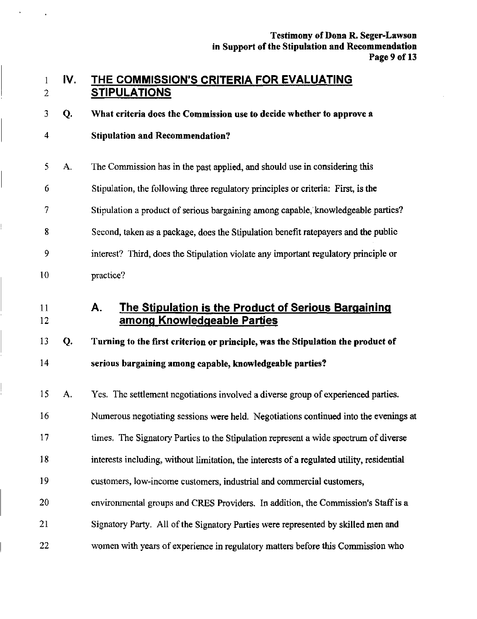#### THE COMMISSION'S CRITERIA FOR EVALUATING STIPULATIONS 1 2 IV

What criteria does the Commission use to decide whether to approve a 3 Q.

- Stipulation and Recommendation? 4
- The Commission has in the past applied, and should use in considering this Stipulation, the following three regulatory principles or criteria: First, is the Stipulation a product of serious bargaining among capable, knowledgeable parties? Second, taken as a package, does the Stipulation benefit ratepayers and the public interest? Third, does the Stipulation violate any important regulatory principle or practice? 5 6 7 8 9 0 A.
- I A. The Stipulation is the Product of Serious Bargaining among Knowledgeable Parties 12

## 13 Q. Turning to the first criterion or principle, was the Stipulation the product of

#### 14 serious bargaining among capable, knowledgeable parties?

15 A. Yes. The settlement negotiations involved a diverse group of experienced parties. 16 Numerous negotiating sessions were held. Negotiations continued into the evenings at 17 times. The Signatory Parties to the Stipulation represent a wide spectrum of diverse 18 interests including, without limitation, the interests of a regulated utility, residential 19 customers, low-income customers, industrial and commercial customers, 20 environmental groups and CRES Providers. In addition, the Commission's Staff is a 21 Signatory Party. All of the Signatory Parties were represented by skilled men and 22 women with years of experience in regulatory matters before this Commission who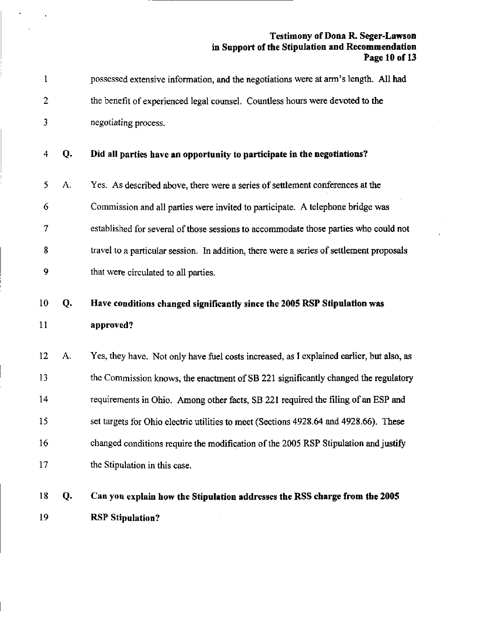#### Testimony of Dona R. Seger-Lawson in Support of the Stipulation and Recommendation Page 10 of 13

| 1  |    | possessed extensive information, and the negotiations were at arm's length. All had      |
|----|----|------------------------------------------------------------------------------------------|
| 2  |    | the benefit of experienced legal counsel. Countless hours were devoted to the            |
| 3  |    | negotiating process.                                                                     |
| 4  | Q. | Did all parties have an opportunity to participate in the negotiations?                  |
| 5  | А. | Yes. As described above, there were a series of settlement conferences at the            |
| 6  |    | Commission and all parties were invited to participate. A telephone bridge was           |
| 7  |    | established for several of those sessions to accommodate those parties who could not     |
| 8  |    | travel to a particular session. In addition, there were a series of settlement proposals |
| 9  |    | that were circulated to all parties.                                                     |
| 10 | Q. | Have conditions changed significantly since the 2005 RSP Stipulation was                 |
| 11 |    | approved?                                                                                |
| 12 | A. | Yes, they have. Not only have fuel costs increased, as I explained earlier, but also, as |
| 13 |    | the Commission knows, the enactment of SB 221 significantly changed the regulatory       |
| 14 |    | requirements in Ohio. Among other facts, SB 221 required the filing of an ESP and        |
| 15 |    | set targets for Ohio electric utilities to meet (Sections 4928.64 and 4928.66). These    |
| 16 |    | changed conditions require the modification of the 2005 RSP Stipulation and justify      |
| 17 |    | the Stipulation in this case.                                                            |
| 18 | Q. | Can you explain how the Stipulation addresses the RSS charge from the 2005               |
| 19 |    | <b>RSP Stipulation?</b>                                                                  |

 $\hat{\textbf{r}}$ 

 $\mathbf{r}$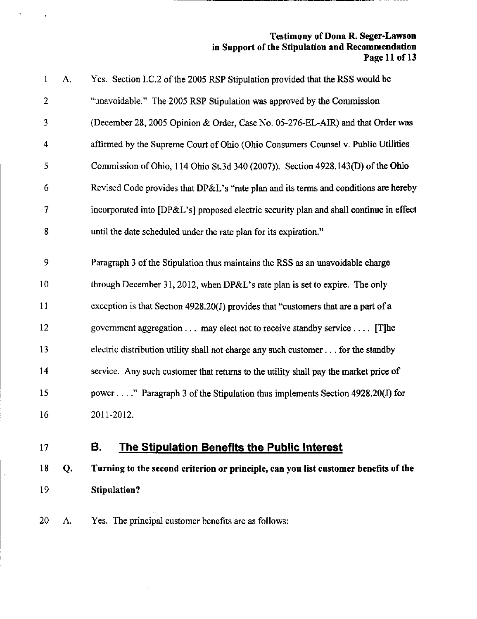#### Testimony of Dona R, Seger-Lawson in Support of the Stipulation and Recommendation Page 11 of 13

| $\mathbf{1}$   | A. | Yes. Section I.C.2 of the 2005 RSP Stipulation provided that the RSS would be           |
|----------------|----|-----------------------------------------------------------------------------------------|
| $\overline{2}$ |    | "unavoidable." The 2005 RSP Stipulation was approved by the Commission                  |
| $\overline{3}$ |    | (December 28, 2005 Opinion & Order, Case No. 05-276-EL-AIR) and that Order was          |
| 4              |    | affirmed by the Supreme Court of Ohio (Ohio Consumers Counsel v. Public Utilities       |
| 5              |    | Commission of Ohio, 114 Ohio St.3d 340 (2007)). Section 4928.143(D) of the Ohio         |
| 6              |    | Revised Code provides that DP&L's "rate plan and its terms and conditions are hereby    |
| 7              |    | incorporated into [DP&L's] proposed electric security plan and shall continue in effect |
| 8              |    | until the date scheduled under the rate plan for its expiration."                       |
| 9              |    | Paragraph 3 of the Stipulation thus maintains the RSS as an unavoidable charge          |
| 10             |    | through December 31, 2012, when DP&L's rate plan is set to expire. The only             |
| 11             |    | exception is that Section 4928.20(J) provides that "customers that are a part of a      |
| 12             |    | government aggregation may elect not to receive standby service [T]he                   |
| 13             |    | electric distribution utility shall not charge any such customer for the standby        |
| 14             |    | service. Any such customer that returns to the utility shall pay the market price of    |
|                |    |                                                                                         |
| 15             |    | power" Paragraph 3 of the Stipulation thus implements Section 4928.20(J) for            |
| 16             |    | 2011-2012.                                                                              |

 $\ddot{\phantom{a}}$ 

ä,

 $\epsilon$ 

# 17 B. The Stipulation Benefits the Public Interest

18 Q. Turning to the second criterion or principle, can you list customer benefits of the 19 Stipulation?

20 A. Yes. The principal customer benefits are as follows: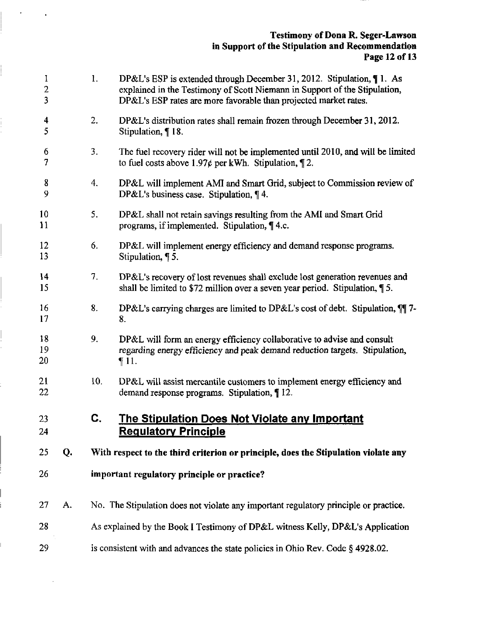| 1<br>$\overline{2}$<br>3     |    | $\mathbf{I}$ . | DP&L's ESP is extended through December 31, 2012. Stipulation, 11. As<br>explained in the Testimony of Scott Niemann in Support of the Stipulation,<br>DP&L's ESP rates are more favorable than projected market rates. |
|------------------------------|----|----------------|-------------------------------------------------------------------------------------------------------------------------------------------------------------------------------------------------------------------------|
| $\overline{\mathbf{4}}$<br>5 |    | 2.             | DP&L's distribution rates shall remain frozen through December 31, 2012.<br>Stipulation, 18.                                                                                                                            |
| 6<br>7                       |    | 3.             | The fuel recovery rider will not be implemented until 2010, and will be limited<br>to fuel costs above 1.97¢ per kWh. Stipulation, $\P$ 2.                                                                              |
| 8<br>9                       |    | 4.             | DP&L will implement AMI and Smart Grid, subject to Commission review of<br>DP&L's business case. Stipulation, 14.                                                                                                       |
| 10<br>11                     |    | 5.             | DP&L shall not retain savings resulting from the AMI and Smart Grid<br>programs, if implemented. Stipulation, $\P$ 4.c.                                                                                                 |
| 12<br>13                     |    | 6.             | DP&L will implement energy efficiency and demand response programs.<br>Stipulation, 15.                                                                                                                                 |
| 14<br>15                     |    | 7.             | DP&L's recovery of lost revenues shall exclude lost generation revenues and<br>shall be limited to \$72 million over a seven year period. Stipulation, $\P$ 5.                                                          |
| 16<br>17                     |    | 8.             | DP&L's carrying charges are limited to DP&L's cost of debt. Stipulation, $\P$ 7-<br>8.                                                                                                                                  |
| 18<br>19<br>20               |    | 9.             | DP&L will form an energy efficiency collaborative to advise and consult<br>regarding energy efficiency and peak demand reduction targets. Stipulation,<br>$\P11.$                                                       |
| 21<br>22                     |    | 10.            | DP&L will assist mercantile customers to implement energy efficiency and<br>demand response programs. Stipulation, ¶ 12.                                                                                                |
| 23<br>24                     |    | C              | <u>The Stipulation Does Not Violate any Important</u><br><b>Requlatory Principle</b>                                                                                                                                    |
| 25                           | Q. |                | With respect to the third criterion or principle, does the Stipulation violate any                                                                                                                                      |
| 26                           |    |                | important regulatory principle or practice?                                                                                                                                                                             |
| 27                           | А. |                | No. The Stipulation does not violate any important regulatory principle or practice.                                                                                                                                    |
| 28                           |    |                | As explained by the Book I Testimony of DP&L witness Kelly, DP&L's Application                                                                                                                                          |
| 29                           |    |                | is consistent with and advances the state policies in Ohio Rev. Code § 4928.02.                                                                                                                                         |

 $\ddot{\phantom{a}}$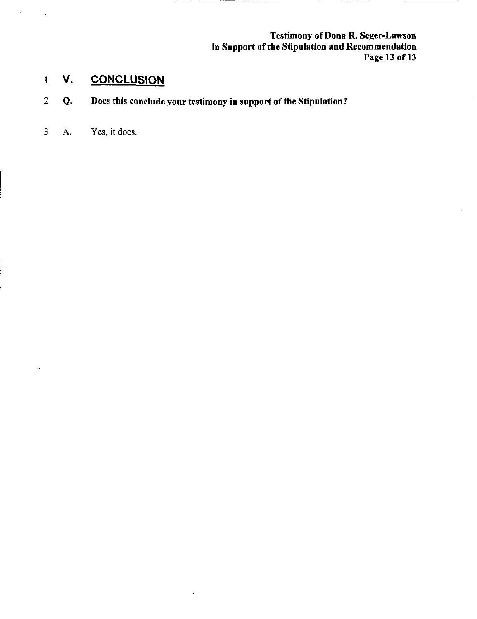Testimony of Dona R. Seger-Lawson in Support of the Stipulation and Recommendation Page 13 of 13

# 1 V. CONCLUSION

2 Q. Does this conclude your testimony in support of the Stipulation?

 $\bar{z}$ 

3 A. Yes, it does.

 $\hat{\mathbf{r}}$ 

 $\ddot{\phantom{0}}$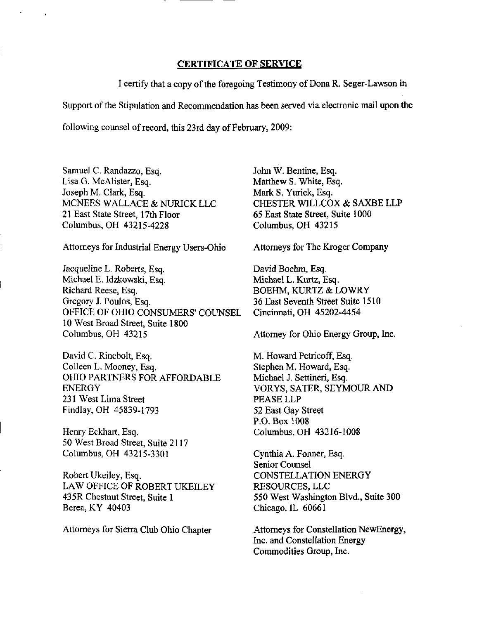#### CERTIFICATE OF SERVICE

I certify that a copy of the foregoing Testimony of Dona R. Seger-Lawson in Support of the Stipulation and Recommendation has been served via electronic mail upon the following counsel of record, this 23rd day of February, 2009:

Samuel C. Randazzo, Esq. Lisa G. McAlister, Esq. Joseph M. Clark, Esq. MCNEES WALLACE & NURICK LLC 21 East State Street, 17th Floor Columbus, OH 43215-4228

Attorneys for Industrial Energy Users-Ohio

Jacqueline L. Roberts, Esq. Michael E. Idzkowski, Esq. Richard Reese, Esq. Gregory J. Poulos, Esq. OFFICE OF OHIO CONSUMERS' COUNSEL 10 West Broad Street, Suite 1800 Columbus, OH 43215

David C. Rinebolt, Esq. Colleen L. Mooney, Esq. OHIO PARTNERS FOR AFFORDABLE ENERGY 231 West Lima Street Findlay, OH 45839-1793

Henry Eckhart, Esq. 50 West Broad Street, Suite 2117 Columbus, OH 43215-3301

Robert Ukeiley, Esq. LAW OFFICE OF ROBERT UKEILEY 435R Chestnut Street, Suite 1 Berea, KY 40403

Attorneys for Sierra Club Ohio Chapter

John W. Bentine, Esq. Matthew S. White, Esq. Mark S, Yurick, Esq. CHESTER WILLCOX & SAXBE LLP 65 East State Street, Suite 1000 Columbus, OH 43215

Attorneys for The Kroger Company

David Boehm, Esq. Michael L. Kurtz, Esq. BOEHM, KURTZ & LOWRY 36 East Seventh Street Suite 1510 Cincinnati, OH 45202-4454

Attorney for Ohio Energy Group, Inc.

M. Howard Petricoff, Esq. Stephen M. Howard, Esq. Michael J. Settineri, Esq. VORYS, SATER, SEYMOUR AND PEASE LLP 52 East Gay Street P.O. Box 1008 Columbus, OH 43216-1008

Cynthia A. Fonner, Esq. Senior Counsel CONSTELLATION ENERGY RESOURCES, LLC 550 West Washington Blvd., Suite 300 Chicago, IL 60661

Attorneys for Constellation NewEnergy, Inc. and Constellation Energy Commodities Group, Inc.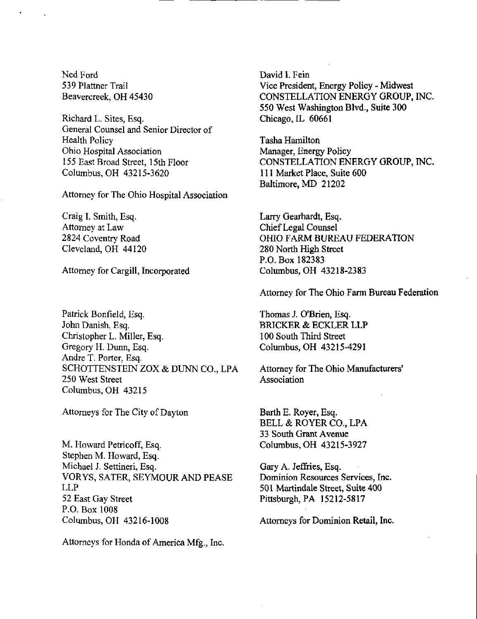Ned Ford 539 Plattner Trail Beavercreek, OH 45430

Richard L. Sites, Esq. General Counsel and Senior Director of Health Policy Ohio Hospital Association 155 East Broad Street, 15th Floor Columbus, OH 43215-3620

Attorney for The Ohio Hospital Association

Craig I. Smith, Esq. Attorney at Law 2824 Coventry Road Cleveland, OH 44120

Attorney for Cargill, Incorporated

Patrick Bonfieid, Esq, John Danish, Esq. Christopher L. Miller, Esq. Gregory H. Dunn, Esq. Andre T. Porter, Esq. SCHOTTENSTEIN ZOX & DUNN CO., LPA 250 West Street Columbus, OH 43215

Attorneys for The City of Dayton

M. Howard Petricoff, Esq. Stephen M. Howard, Esq. Michael J. Settineri, Esq. VORYS, SATER, SEYMOUR AND PEASE LLP 52 East Gay Street P.O. Box 1008 Columbus, OH 43216-1008

Attorneys for Honda of America Mfg., Inc.

David I. Fein Vice President, Energy Policy - Midwest CONSTELLATION ENERGY GROUP, INC. 550 West Washington Blvd., Suite 300 Chicago, IL 60661

Tasha Hamilton Manager, Energy Policy CONSTELLATION ENERGY GROUP, INC. I ll Market Place, Suite 600 Baltimore, MD 21202

Larry Gearhardt, Esq. Chief Legal Counsel OHIO FARM BUREAU FEDERATION 280 North High Street P.O. Box 182383 Columbus, OH 43218-2383

Attorney for The Ohio Farm Bureau Federation

Thomas J. O'Brien, Esq. BRICKER & ECKLER LLP 100 South Third Street Columbus, OH 43215-4291

Attorney for The Ohio Manufacturers' Association

Barth E. Royer, Esq. BELL & ROYER CO., LPA 33 South Grant Avenue Columbus, OH 43215-3927

Gary A. Jeffries, Esq. Dominion Resources Services, Inc. 501 Martindale Street, Suite 400 Pittsburgh, PA 15212-5817

Attorneys for Dominion Retail, Inc.